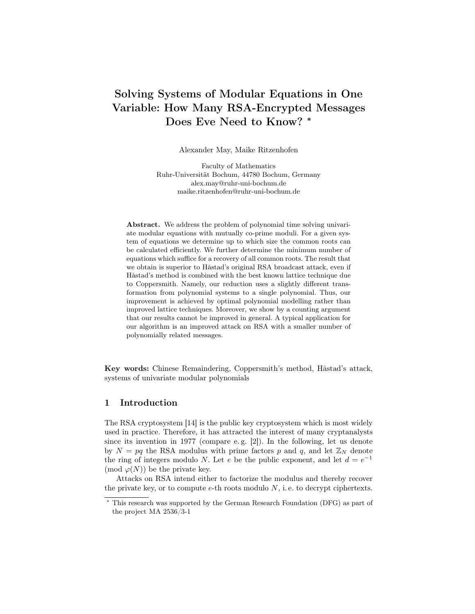# Solving Systems of Modular Equations in One Variable: How Many RSA-Encrypted Messages Does Eve Need to Know? <sup>∗</sup>

Alexander May, Maike Ritzenhofen

Faculty of Mathematics Ruhr-Universität Bochum, 44780 Bochum, Germany alex.may@ruhr-uni-bochum.de maike.ritzenhofen@ruhr-uni-bochum.de

Abstract. We address the problem of polynomial time solving univariate modular equations with mutually co-prime moduli. For a given system of equations we determine up to which size the common roots can be calculated efficiently. We further determine the minimum number of equations which suffice for a recovery of all common roots. The result that we obtain is superior to Håstad's original RSA broadcast attack, even if Håstad's method is combined with the best known lattice technique due to Coppersmith. Namely, our reduction uses a slightly different transformation from polynomial systems to a single polynomial. Thus, our improvement is achieved by optimal polynomial modelling rather than improved lattice techniques. Moreover, we show by a counting argument that our results cannot be improved in general. A typical application for our algorithm is an improved attack on RSA with a smaller number of polynomially related messages.

Key words: Chinese Remaindering, Coppersmith's method, Håstad's attack, systems of univariate modular polynomials

### 1 Introduction

The RSA cryptosystem [14] is the public key cryptosystem which is most widely used in practice. Therefore, it has attracted the interest of many cryptanalysts since its invention in 1977 (compare e. g. [2]). In the following, let us denote by  $N = pq$  the RSA modulus with prime factors p and q, and let  $\mathbb{Z}_N$  denote the ring of integers modulo N. Let e be the public exponent, and let  $d = e^{-1}$ (mod  $\varphi(N)$ ) be the private key.

Attacks on RSA intend either to factorize the modulus and thereby recover the private key, or to compute  $e$ -th roots modulo  $N$ , i.e. to decrypt ciphertexts.

<sup>∗</sup> This research was supported by the German Research Foundation (DFG) as part of the project MA 2536/3-1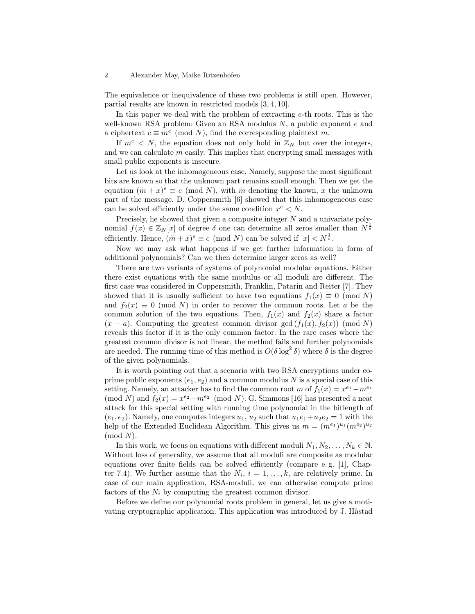The equivalence or inequivalence of these two problems is still open. However, partial results are known in restricted models [3, 4, 10].

In this paper we deal with the problem of extracting  $e$ -th roots. This is the well-known RSA problem: Given an RSA modulus  $N$ , a public exponent  $e$  and a ciphertext  $c \equiv m^e \pmod{N}$ , find the corresponding plaintext m.

If  $m^e \leq N$ , the equation does not only hold in  $\mathbb{Z}_N$  but over the integers, and we can calculate  $m$  easily. This implies that encrypting small messages with small public exponents is insecure.

Let us look at the inhomogeneous case. Namely, suppose the most significant bits are known so that the unknown part remains small enough. Then we get the equation  $({\tilde{m}} + x)^e \equiv c \pmod{N}$ , with  ${\tilde{m}}$  denoting the known, x the unknown part of the message. D. Coppersmith [6] showed that this inhomogeneous case can be solved efficiently under the same condition  $x^e \leq N$ .

Precisely, he showed that given a composite integer N and a univariate polynomial  $f(x) \in \mathbb{Z}_N[x]$  of degree  $\delta$  one can determine all zeros smaller than  $N^{\frac{1}{\delta}}$ efficiently. Hence,  $(\tilde{m} + x)^e \equiv c \pmod{N}$  can be solved if  $|x| < N^{\frac{1}{e}}$ .

Now we may ask what happens if we get further information in form of additional polynomials? Can we then determine larger zeros as well?

There are two variants of systems of polynomial modular equations. Either there exist equations with the same modulus or all moduli are different. The first case was considered in Coppersmith, Franklin, Patarin and Reiter [7]. They showed that it is usually sufficient to have two equations  $f_1(x) \equiv 0 \pmod{N}$ and  $f_2(x) \equiv 0 \pmod{N}$  in order to recover the common roots. Let a be the common solution of the two equations. Then,  $f_1(x)$  and  $f_2(x)$  share a factor  $(x - a)$ . Computing the greatest common divisor gcd  $(f_1(x), f_2(x))$  (mod N) reveals this factor if it is the only common factor. In the rare cases where the greatest common divisor is not linear, the method fails and further polynomials are needed. The running time of this method is  $O(\delta \log^2 \delta)$  where  $\delta$  is the degree of the given polynomials.

It is worth pointing out that a scenario with two RSA encryptions under coprime public exponents  $(e_1, e_2)$  and a common modulus N is a special case of this setting. Namely, an attacker has to find the common root m of  $f_1(x) = x^{e_1} - m^{e_1}$ (mod N) and  $f_2(x) = x^{e_2} - m^{e_2}$  (mod N). G. Simmons [16] has presented a neat attack for this special setting with running time polynomial in the bitlength of  $(e_1, e_2)$ . Namely, one computes integers  $u_1, u_2$  such that  $u_1e_1+u_2e_2 = 1$  with the help of the Extended Euclidean Algorithm. This gives us  $m = (m^{e_1})^{u_1} (m^{e_2})^{u_2}$  $(mod N).$ 

In this work, we focus on equations with different moduli  $N_1, N_2, \ldots, N_k \in \mathbb{N}$ . Without loss of generality, we assume that all moduli are composite as modular equations over finite fields can be solved efficiently (compare e. g. [1], Chapter 7.4). We further assume that the  $N_i$ ,  $i = 1, ..., k$ , are relatively prime. In case of our main application, RSA-moduli, we can otherwise compute prime factors of the  $N_i$  by computing the greatest common divisor.

Before we define our polynomial roots problem in general, let us give a motivating cryptographic application. This application was introduced by J. Håstad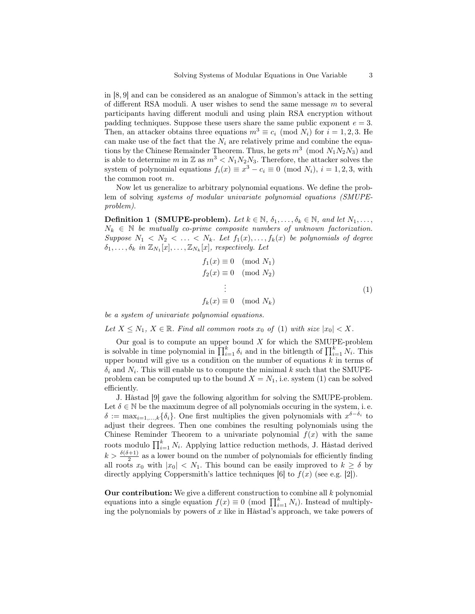in [8, 9] and can be considered as an analogue of Simmon's attack in the setting of different RSA moduli. A user wishes to send the same message  $m$  to several participants having different moduli and using plain RSA encryption without padding techniques. Suppose these users share the same public exponent  $e = 3$ . Then, an attacker obtains three equations  $m^3 \equiv c_i \pmod{N_i}$  for  $i = 1, 2, 3$ . He can make use of the fact that the  $N_i$  are relatively prime and combine the equations by the Chinese Remainder Theorem. Thus, he gets  $m^3 \pmod{N_1 N_2 N_3}$  and is able to determine m in Z as  $m^3 < N_1 N_2 N_3$ . Therefore, the attacker solves the system of polynomial equations  $f_i(x) \equiv x^3 - c_i \equiv 0 \pmod{N_i}$ ,  $i = 1, 2, 3$ , with the common root m.

Now let us generalize to arbitrary polynomial equations. We define the problem of solving systems of modular univariate polynomial equations (SMUPEproblem).

**Definition 1 (SMUPE-problem).** Let  $k \in \mathbb{N}$ ,  $\delta_1, \ldots, \delta_k \in \mathbb{N}$ , and let  $N_1, \ldots,$  $N_k \in \mathbb{N}$  be mutually co-prime composite numbers of unknown factorization. Suppose  $N_1 \langle N_2 \rangle \langle \ldots \rangle \langle N_k$ . Let  $f_1(x), \ldots, f_k(x)$  be polynomials of degree  $\delta_1, \ldots, \delta_k$  in  $\mathbb{Z}_{N_1}[x], \ldots, \mathbb{Z}_{N_k}[x]$ , respectively. Let

$$
f_1(x) \equiv 0 \pmod{N_1}
$$
  
\n
$$
f_2(x) \equiv 0 \pmod{N_2}
$$
  
\n
$$
\vdots
$$
  
\n
$$
f_k(x) \equiv 0 \pmod{N_k}
$$
\n(1)

be a system of univariate polynomial equations.

Let  $X \leq N_1$ ,  $X \in \mathbb{R}$ . Find all common roots  $x_0$  of (1) with size  $|x_0| < X$ .

Our goal is to compute an upper bound  $X$  for which the SMUPE-problem is solvable in time polynomial in  $\prod_{i=1}^k \delta_i$  and in the bitlength of  $\prod_{i=1}^k N_i$ . This upper bound will give us a condition on the number of equations  $k$  in terms of  $\delta_i$  and  $N_i$ . This will enable us to compute the minimal k such that the SMUPEproblem can be computed up to the bound  $X = N_1$ , i.e. system (1) can be solved efficiently.

J. Håstad [9] gave the following algorithm for solving the SMUPE-problem. Let  $\delta \in \mathbb{N}$  be the maximum degree of all polynomials occuring in the system, i.e.  $\delta := \max_{i=1,\dots,k} {\{\delta_i\}}$ . One first multiplies the given polynomials with  $x^{\delta-\delta_i}$  to adjust their degrees. Then one combines the resulting polynomials using the Chinese Reminder Theorem to a univariate polynomial  $f(x)$  with the same roots modulo  $\prod_{i=1}^{k} N_i$ . Applying lattice reduction methods, J. Håstad derived  $k > \frac{\delta(\delta+1)}{2}$  as a lower bound on the number of polynomials for efficiently finding all roots  $x_0$  with  $|x_0| < N_1$ . This bound can be easily improved to  $k \geq \delta$  by directly applying Coppersmith's lattice techniques  $[6]$  to  $f(x)$  (see e.g. [2]).

Our contribution: We give a different construction to combine all  $k$  polynomial equations into a single equation  $f(x) \equiv 0 \pmod{\prod_{i=1}^{k} N_i}$ . Instead of multiplying the polynomials by powers of  $x$  like in Håstad's approach, we take powers of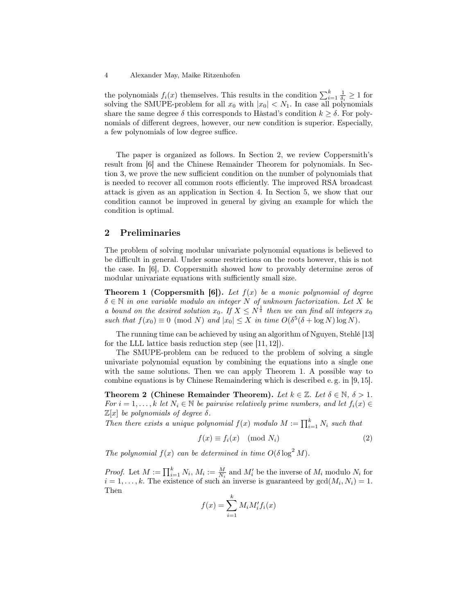the polynomials  $f_i(x)$  themselves. This results in the condition  $\sum_{i=1}^k \frac{1}{\delta_i} \geq 1$  for solving the SMUPE-problem for all  $x_0$  with  $|x_0| < N_1$ . In case all polynomials share the same degree  $\delta$  this corresponds to Håstad's condition  $k \geq \delta$ . For polynomials of different degrees, however, our new condition is superior. Especially, a few polynomials of low degree suffice.

The paper is organized as follows. In Section 2, we review Coppersmith's result from [6] and the Chinese Remainder Theorem for polynomials. In Section 3, we prove the new sufficient condition on the number of polynomials that is needed to recover all common roots efficiently. The improved RSA broadcast attack is given as an application in Section 4. In Section 5, we show that our condition cannot be improved in general by giving an example for which the condition is optimal.

### 2 Preliminaries

The problem of solving modular univariate polynomial equations is believed to be difficult in general. Under some restrictions on the roots however, this is not the case. In [6], D. Coppersmith showed how to provably determine zeros of modular univariate equations with sufficiently small size.

**Theorem 1 (Coppersmith [6]).** Let  $f(x)$  be a monic polynomial of degree  $\delta \in \mathbb{N}$  in one variable modulo an integer N of unknown factorization. Let X be a bound on the desired solution  $x_0$ . If  $X \leq N^{\frac{1}{\delta}}$  then we can find all integers  $x_0$ such that  $f(x_0) \equiv 0 \pmod{N}$  and  $|x_0| \leq X$  in time  $O(\delta^5(\delta + \log N) \log N)$ .

The running time can be achieved by using an algorithm of Nguyen, Stehlé [13] for the LLL lattice basis reduction step (see [11, 12]).

The SMUPE-problem can be reduced to the problem of solving a single univariate polynomial equation by combining the equations into a single one with the same solutions. Then we can apply Theorem 1. A possible way to combine equations is by Chinese Remaindering which is described e. g. in [9, 15].

Theorem 2 (Chinese Remainder Theorem). Let  $k \in \mathbb{Z}$ . Let  $\delta \in \mathbb{N}$ ,  $\delta > 1$ . For  $i = 1, \ldots, k$  let  $N_i \in \mathbb{N}$  be pairwise relatively prime numbers, and let  $f_i(x) \in$  $\mathbb{Z}[x]$  be polynomials of degree  $\delta$ .

Then there exists a unique polynomial  $f(x)$  modulo  $M := \prod_{i=1}^{k} N_i$  such that

$$
f(x) \equiv f_i(x) \pmod{N_i}
$$
 (2)

The polynomial  $f(x)$  can be determined in time  $O(\delta \log^2 M)$ .

*Proof.* Let  $M := \prod_{i=1}^{k} N_i$ ,  $M_i := \frac{M}{N_i}$  and  $M'_i$  be the inverse of  $M_i$  modulo  $N_i$  for  $i = 1, \ldots, k$ . The existence of such an inverse is guaranteed by  $gcd(M_i, N_i) = 1$ . Then

$$
f(x) = \sum_{i=1}^{k} M_i M_i' f_i(x)
$$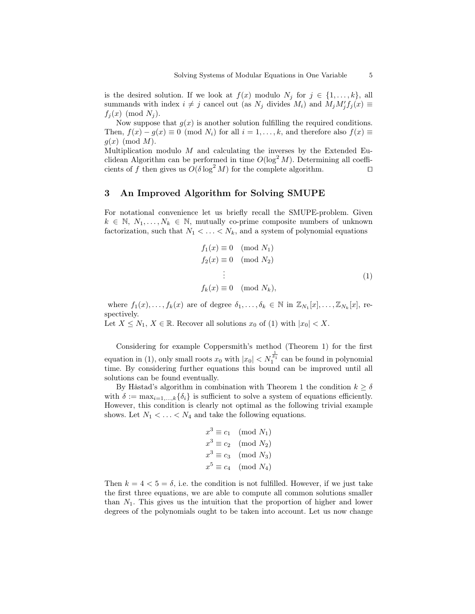is the desired solution. If we look at  $f(x)$  modulo  $N_i$  for  $j \in \{1, \ldots, k\}$ , all summands with index  $i \neq j$  cancel out (as  $N_j$  divides  $M_i$ ) and  $M_j M'_j f_j(x) \equiv$  $f_i(x) \pmod{N_i}$ .

Now suppose that  $g(x)$  is another solution fulfilling the required conditions. Then,  $f(x) - g(x) \equiv 0 \pmod{N_i}$  for all  $i = 1, ..., k$ , and therefore also  $f(x) \equiv$  $g(x)$  (mod M).

Multiplication modulo  $M$  and calculating the inverses by the Extended Euclidean Algorithm can be performed in time  $O(\log^2 M)$ . Determining all coefficients of f then gives us  $O(\delta \log^2 M)$  for the complete algorithm.

### 3 An Improved Algorithm for Solving SMUPE

For notational convenience let us briefly recall the SMUPE-problem. Given  $k \in \mathbb{N}, N_1, \ldots, N_k \in \mathbb{N}$ , mutually co-prime composite numbers of unknown factorization, such that  $N_1 < \ldots < N_k$ , and a system of polynomial equations

$$
f_1(x) \equiv 0 \pmod{N_1}
$$
  
\n
$$
f_2(x) \equiv 0 \pmod{N_2}
$$
  
\n
$$
\vdots
$$
  
\n
$$
f_k(x) \equiv 0 \pmod{N_k},
$$
  
\n(1)

where  $f_1(x),..., f_k(x)$  are of degree  $\delta_1,..., \delta_k \in \mathbb{N}$  in  $\mathbb{Z}_{N_1}[x],..., \mathbb{Z}_{N_k}[x]$ , respectively.

Let  $X \leq N_1, X \in \mathbb{R}$ . Recover all solutions  $x_0$  of (1) with  $|x_0| < X$ .

Considering for example Coppersmith's method (Theorem 1) for the first equation in (1), only small roots  $x_0$  with  $|x_0| < N_1^{\frac{1}{\delta_1}}$  can be found in polynomial time. By considering further equations this bound can be improved until all solutions can be found eventually.

By Håstad's algorithm in combination with Theorem 1 the condition  $k \geq \delta$ with  $\delta := \max_{i=1,\ldots,k} {\{\delta_i\}}$  is sufficient to solve a system of equations efficiently. However, this condition is clearly not optimal as the following trivial example shows. Let  $N_1 < \ldots < N_4$  and take the following equations.

$$
x^3 \equiv c_1 \pmod{N_1}
$$
  
\n
$$
x^3 \equiv c_2 \pmod{N_2}
$$
  
\n
$$
x^3 \equiv c_3 \pmod{N_3}
$$
  
\n
$$
x^5 \equiv c_4 \pmod{N_4}
$$

Then  $k = 4 < 5 = \delta$ , i.e. the condition is not fulfilled. However, if we just take the first three equations, we are able to compute all common solutions smaller than  $N_1$ . This gives us the intuition that the proportion of higher and lower degrees of the polynomials ought to be taken into account. Let us now change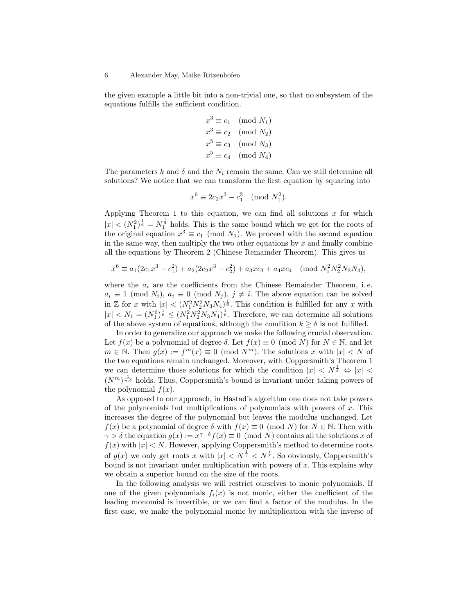the given example a little bit into a non-trivial one, so that no subsystem of the equations fulfills the sufficient condition.

$$
x3 \equiv c1 \pmod{N_1}
$$
  
\n
$$
x3 \equiv c2 \pmod{N_2}
$$
  
\n
$$
x5 \equiv c3 \pmod{N_3}
$$
  
\n
$$
x5 \equiv c4 \pmod{N_4}
$$

The parameters k and  $\delta$  and the  $N_i$  remain the same. Can we still determine all solutions? We notice that we can transform the first equation by squaring into

$$
x^6 \equiv 2c_1 x^3 - c_1^2 \pmod{N_1^2}.
$$

Applying Theorem 1 to this equation, we can find all solutions  $x$  for which  $|x| < (N_1^2)^{\frac{1}{6}} = N_1^{\frac{1}{3}}$  holds. This is the same bound which we get for the roots of the original equation  $x^3 \equiv c_1 \pmod{N_1}$ . We proceed with the second equation in the same way, then multiply the two other equations by  $x$  and finally combine all the equations by Theorem 2 (Chinese Remainder Theorem). This gives us

$$
x^{6} \equiv a_{1}(2c_{1}x^{3} - c_{1}^{2}) + a_{2}(2c_{2}x^{3} - c_{2}^{2}) + a_{3}xc_{3} + a_{4}xc_{4} \pmod{N_{1}^{2}N_{2}^{2}N_{3}N_{4}},
$$

where the  $a_i$  are the coefficients from the Chinese Remainder Theorem, i.e.  $a_i \equiv 1 \pmod{N_i}$ ,  $a_i \equiv 0 \pmod{N_j}$ ,  $j \neq i$ . The above equation can be solved in Z for x with  $|x| < (N_1^2 N_2^2 N_3 N_4)^{\frac{1}{6}}$ . This condition is fulfilled for any x with  $|x| < N_1 = (N_1^6)^{\frac{1}{6}} \leq (N_1^2 N_2^2 N_3 N_4)^{\frac{1}{6}}$ . Therefore, we can determine all solutions of the above system of equations, although the condition  $k \geq \delta$  is not fulfilled.

In order to generalize our approach we make the following crucial observation. Let  $f(x)$  be a polynomial of degree  $\delta$ . Let  $f(x) \equiv 0 \pmod{N}$  for  $N \in \mathbb{N}$ , and let  $m \in \mathbb{N}$ . Then  $g(x) := f^m(x) \equiv 0 \pmod{N^m}$ . The solutions x with  $|x| < N$  of the two equations remain unchanged. Moreover, with Coppersmith's Theorem 1 we can determine those solutions for which the condition  $|x| \langle N^{\frac{1}{\delta}} \Leftrightarrow |x| \langle N^{\frac{1}{\delta}} \rangle$  $(N^m)^{\frac{1}{m\delta}}$  holds. Thus, Coppersmith's bound is invariant under taking powers of the polynomial  $f(x)$ .

As opposed to our approach, in Håstad's algorithm one does not take powers of the polynomials but multiplications of polynomials with powers of  $x$ . This increases the degree of the polynomial but leaves the modulus unchanged. Let  $f(x)$  be a polynomial of degree  $\delta$  with  $f(x) \equiv 0 \pmod{N}$  for  $N \in \mathbb{N}$ . Then with  $\gamma > \delta$  the equation  $g(x) := x^{\gamma-\delta} f(x) \equiv 0 \pmod{N}$  contains all the solutions x of  $f(x)$  with  $|x| < N$ . However, applying Coppersmith's method to determine roots of  $g(x)$  we only get roots x with  $|x| < N^{\frac{1}{\gamma}} < N^{\frac{1}{\delta}}$ . So obviously, Coppersmith's bound is not invariant under multiplication with powers of  $x$ . This explains why we obtain a superior bound on the size of the roots.

In the following analysis we will restrict ourselves to monic polynomials. If one of the given polynomials  $f_i(x)$  is not monic, either the coefficient of the leading monomial is invertible, or we can find a factor of the modulus. In the first case, we make the polynomial monic by multiplication with the inverse of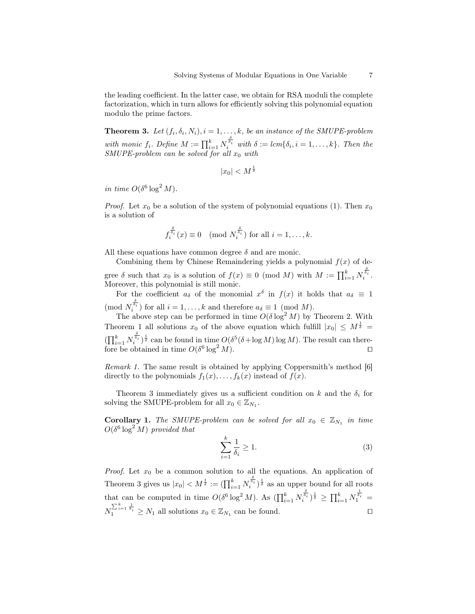the leading coefficient. In the latter case, we obtain for RSA moduli the complete factorization, which in turn allows for efficiently solving this polynomial equation modulo the prime factors.

**Theorem 3.** Let  $(f_i, \delta_i, N_i)$ ,  $i = 1, ..., k$ , be an instance of the SMUPE-problem with monic  $f_i$ . Define  $M := \prod_{i=1}^k N_i^{\frac{\delta_i}{\delta_i}}$  with  $\delta := lcm\{\delta_i, i = 1, \ldots, k\}$ . Then the SMUPE-problem can be solved for all  $x_0$  with

 $|x_0| < M^{\frac{1}{\delta}}$ 

in time  $O(\delta^6 \log^2 M)$ .

*Proof.* Let  $x_0$  be a solution of the system of polynomial equations (1). Then  $x_0$ is a solution of

$$
f_i^{\frac{\delta}{\delta_i}}(x) \equiv 0 \pmod{N_i^{\frac{\delta}{\delta_i}}}
$$
 for all  $i = 1, ..., k$ .

All these equations have common degree  $\delta$  and are monic.

Combining them by Chinese Remaindering yields a polynomial  $f(x)$  of degree  $\delta$  such that  $x_0$  is a solution of  $f(x) \equiv 0 \pmod{M}$  with  $M := \prod_{i=1}^k N_i^{\frac{\delta_i}{\delta_i}}$ . Moreover, this polynomial is still monic.

For the coefficient  $a_{\delta}$  of the monomial  $x^{\delta}$  in  $f(x)$  it holds that  $a_{\delta} \equiv 1$  $(\text{mod } N_i^{\frac{\delta}{\delta_i}})$  for all  $i = 1, ..., k$  and therefore  $a_{\delta} \equiv 1 \pmod{M}$ .

The above step can be performed in time  $O(\delta \log^2 M)$  by Theorem 2. With Theorem 1 all solutions  $x_0$  of the above equation which fulfill  $|x_0| \leq M^{\frac{1}{\delta}} =$  $(\prod_{i=1}^k N_i^{\frac{\delta}{\delta_i}})^{\frac{1}{\delta}}$  can be found in time  $O(\delta^5(\delta + \log M) \log M)$ . The result can therefore be obtained in time  $O(\delta^6 \log^2 M)$ .

Remark 1. The same result is obtained by applying Coppersmith's method [6] directly to the polynomials  $f_1(x), \ldots, f_k(x)$  instead of  $f(x)$ .

Theorem 3 immediately gives us a sufficient condition on k and the  $\delta_i$  for solving the SMUPE-problem for all  $x_0 \in \mathbb{Z}_{N_1}$ .

**Corollary 1.** The SMUPE-problem can be solved for all  $x_0 \in \mathbb{Z}_{N_1}$  in time  $O(\delta^6 \log^2 M)$  provided that

$$
\sum_{i=1}^{k} \frac{1}{\delta_i} \ge 1.
$$
\n(3)

*Proof.* Let  $x_0$  be a common solution to all the equations. An application of Theorem 3 gives us  $|x_0| < M^{\frac{1}{\delta}} := (\prod_{i=1}^k N_i^{\frac{\delta}{\delta_i}})^{\frac{1}{\delta}}$  as an upper bound for all roots that can be computed in time  $O(\delta^6 \log^2 M)$ . As  $(\prod_{i=1}^k N_i^{\frac{\delta}{\delta_i}})^{\frac{1}{\delta}} \ge \prod_{i=1}^k N_i^{\frac{1}{\delta_i}} =$  $N_1^{\sum_{i=1}^k \frac{1}{\delta_i}} \geq N_1$  all solutions  $x_0 \in \mathbb{Z}_{N_1}$  can be found.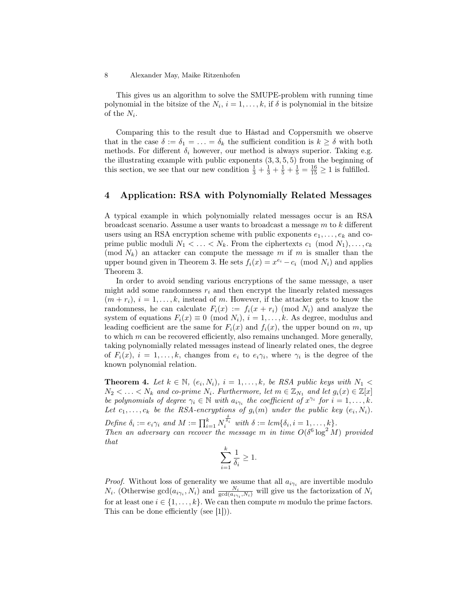This gives us an algorithm to solve the SMUPE-problem with running time polynomial in the bitsize of the  $N_i$ ,  $i = 1, ..., k$ , if  $\delta$  is polynomial in the bitsize of the  $N_i$ .

Comparing this to the result due to Håstad and Coppersmith we observe that in the case  $\delta := \delta_1 = \ldots = \delta_k$  the sufficient condition is  $k \geq \delta$  with both methods. For different  $\delta_i$  however, our method is always superior. Taking e.g. the illustrating example with public exponents  $(3, 3, 5, 5)$  from the beginning of this section, we see that our new condition  $\frac{1}{3} + \frac{1}{3} + \frac{1}{5} + \frac{1}{5} = \frac{16}{15} \ge 1$  is fulfilled.

### 4 Application: RSA with Polynomially Related Messages

A typical example in which polynomially related messages occur is an RSA broadcast scenario. Assume a user wants to broadcast a message  $m$  to  $k$  different users using an RSA encryption scheme with public exponents  $e_1, \ldots, e_k$  and coprime public moduli  $N_1 < \ldots < N_k$ . From the ciphertexts  $c_1 \pmod{N_1}, \ldots, c_k$ (mod  $N_k$ ) an attacker can compute the message m if m is smaller than the upper bound given in Theorem 3. He sets  $f_i(x) = x^{e_i} - c_i \pmod{N_i}$  and applies Theorem 3.

In order to avoid sending various encryptions of the same message, a user might add some randomness  $r_i$  and then encrypt the linearly related messages  $(m + r_i), i = 1, \ldots, k$ , instead of m. However, if the attacker gets to know the randomness, he can calculate  $F_i(x) := f_i(x + r_i) \pmod{N_i}$  and analyze the system of equations  $F_i(x) \equiv 0 \pmod{N_i}$ ,  $i = 1, ..., k$ . As degree, modulus and leading coefficient are the same for  $F_i(x)$  and  $f_i(x)$ , the upper bound on m, up to which  $m$  can be recovered efficiently, also remains unchanged. More generally, taking polynomially related messages instead of linearly related ones, the degree of  $F_i(x)$ ,  $i = 1, ..., k$ , changes from  $e_i$  to  $e_i \gamma_i$ , where  $\gamma_i$  is the degree of the known polynomial relation.

**Theorem 4.** Let  $k \in \mathbb{N}$ ,  $(e_i, N_i)$ ,  $i = 1, ..., k$ , be RSA public keys with  $N_1$  <  $N_2 < \ldots < N_k$  and co-prime  $N_i$ . Furthermore, let  $m \in \mathbb{Z}_{N_1}$  and let  $g_i(x) \in \mathbb{Z}[x]$ be polynomials of degree  $\gamma_i \in \mathbb{N}$  with  $a_{i\gamma_i}$  the coefficient of  $x^{\gamma_i}$  for  $i = 1, \ldots, k$ . Let  $c_1, \ldots, c_k$  be the RSA-encryptions of  $g_i(m)$  under the public key  $(e_i, N_i)$ .

Define  $\delta_i := e_i \gamma_i$  and  $M := \prod_{i=1}^k N_i^{\frac{\delta}{\delta_i}}$  with  $\delta := lcm\{\delta_i, i = 1, \ldots, k\}.$ Then an adversary can recover the message m in time  $O(\delta^6 \log^2 M)$  provided that

$$
\sum_{i=1}^k \frac{1}{\delta_i} \geq 1.
$$

*Proof.* Without loss of generality we assume that all  $a_{i\gamma_i}$  are invertible modulo  $N_i$ . (Otherwise  $gcd(a_{i\gamma_i}, N_i)$  and  $\frac{N_i}{gcd(a_{i\gamma_i}, N_i)}$  will give us the factorization of  $N_i$ for at least one  $i \in \{1, \ldots, k\}$ . We can then compute m modulo the prime factors. This can be done efficiently (see [1])).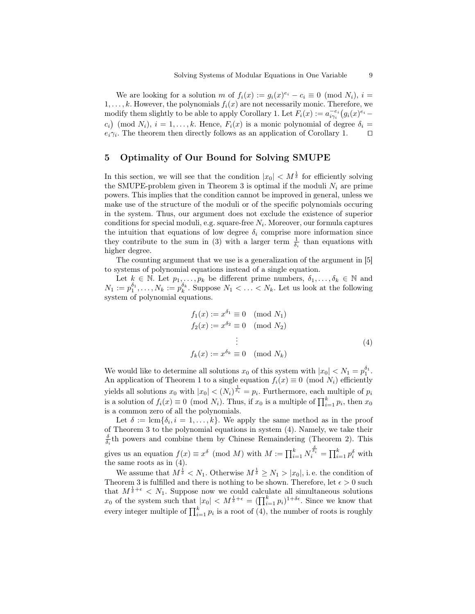We are looking for a solution m of  $f_i(x) := g_i(x)^{e_i} - c_i \equiv 0 \pmod{N_i}$ ,  $i =$  $1, \ldots, k$ . However, the polynomials  $f_i(x)$  are not necessarily monic. Therefore, we modify them slightly to be able to apply Corollary 1. Let  $F_i(x) := a_{i\gamma_i}^{-e_i} (g_i(x)^{e_i} (c_i)$  (mod  $N_i$ ),  $i = 1, ..., k$ . Hence,  $F_i(x)$  is a monic polynomial of degree  $\delta_i =$  $e_i \gamma_i$ . The theorem then directly follows as an application of Corollary 1.  $\Box$ 

## 5 Optimality of Our Bound for Solving SMUPE

In this section, we will see that the condition  $|x_0| < M^{\frac{1}{\delta}}$  for efficiently solving the SMUPE-problem given in Theorem 3 is optimal if the moduli  $N_i$  are prime powers. This implies that the condition cannot be improved in general, unless we make use of the structure of the moduli or of the specific polynomials occuring in the system. Thus, our argument does not exclude the existence of superior conditions for special moduli, e.g. square-free  $N_i$ . Moreover, our formula captures the intuition that equations of low degree  $\delta_i$  comprise more information since they contribute to the sum in (3) with a larger term  $\frac{1}{\delta_i}$  than equations with higher degree.

The counting argument that we use is a generalization of the argument in [5] to systems of polynomial equations instead of a single equation.

Let  $k \in \mathbb{N}$ . Let  $p_1, \ldots, p_k$  be different prime numbers,  $\delta_1, \ldots, \delta_k \in \mathbb{N}$  and  $N_1 := p_1^{\delta_1}, \ldots, N_k := p_k^{\delta_k}$ . Suppose  $N_1 < \ldots < N_k$ . Let us look at the following system of polynomial equations.

$$
f_1(x) := x^{\delta_1} \equiv 0 \pmod{N_1}
$$
  
\n
$$
f_2(x) := x^{\delta_2} \equiv 0 \pmod{N_2}
$$
  
\n
$$
\vdots
$$
  
\n
$$
f_k(x) := x^{\delta_k} \equiv 0 \pmod{N_k}
$$
\n(4)

We would like to determine all solutions  $x_0$  of this system with  $|x_0| < N_1 = p_1^{\delta_1}$ . An application of Theorem 1 to a single equation  $f_i(x) \equiv 0 \pmod{N_i}$  efficiently yields all solutions  $x_0$  with  $|x_0| < (N_i)^{\frac{1}{\delta_i}} = p_i$ . Furthermore, each multiple of  $p_i$ is a solution of  $f_i(x) \equiv 0 \pmod{N_i}$ . Thus, if  $x_0$  is a multiple of  $\prod_{i=1}^k p_i$ , then  $x_0$ is a common zero of all the polynomials.

Let  $\delta := \text{lcm} \{ \delta_i, i = 1, \ldots, k \}.$  We apply the same method as in the proof of Theorem 3 to the polynomial equations in system (4). Namely, we take their  $\frac{\delta}{\delta_i}$ th powers and combine them by Chinese Remaindering (Theorem 2). This gives us an equation  $f(x) \equiv x^{\delta} \pmod{M}$  with  $M := \prod_{i=1}^{k} N_i^{\frac{\delta}{\delta_i}} = \prod_{i=1}^{k} p_i^{\delta}$  with the same roots as in (4).

We assume that  $M^{\frac{1}{\delta}} < N_1$ . Otherwise  $M^{\frac{1}{\delta}} \ge N_1 > |x_0|$ , i.e. the condition of Theorem 3 is fulfilled and there is nothing to be shown. Therefore, let  $\epsilon > 0$  such that  $M^{\frac{1}{\delta}+\epsilon} < N_1$ . Suppose now we could calculate all simultaneous solutions  $x_0$  of the system such that  $|x_0| < M^{\frac{1}{\delta}+\epsilon} = (\prod_{i=1}^k p_i)^{1+\delta\epsilon}$ . Since we know that every integer multiple of  $\prod_{i=1}^{k} p_i$  is a root of (4), the number of roots is roughly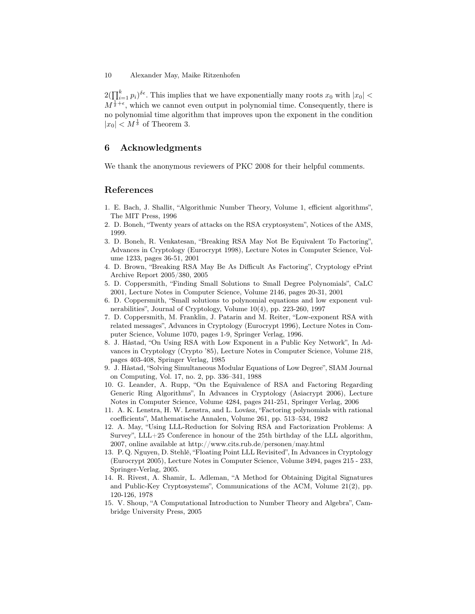$2(\prod_{i=1}^k p_i)^{\delta \epsilon}$ . This implies that we have exponentially many roots  $x_0$  with  $|x_0|$  <  $M^{\frac{1}{\delta}+\epsilon}$ , which we cannot even output in polynomial time. Consequently, there is no polynomial time algorithm that improves upon the exponent in the condition  $|x_0|$  <  $M^{\frac{1}{\delta}}$  of Theorem 3.

### 6 Acknowledgments

We thank the anonymous reviewers of PKC 2008 for their helpful comments.

### References

- 1. E. Bach, J. Shallit, "Algorithmic Number Theory, Volume 1, efficient algorithms", The MIT Press, 1996
- 2. D. Boneh, "Twenty years of attacks on the RSA cryptosystem", Notices of the AMS, 1999.
- 3. D. Boneh, R. Venkatesan, "Breaking RSA May Not Be Equivalent To Factoring", Advances in Cryptology (Eurocrypt 1998), Lecture Notes in Computer Science, Volume 1233, pages 36-51, 2001
- 4. D. Brown, "Breaking RSA May Be As Difficult As Factoring", Cryptology ePrint Archive Report 2005/380, 2005
- 5. D. Coppersmith, "Finding Small Solutions to Small Degree Polynomials", CaLC 2001, Lecture Notes in Computer Science, Volume 2146, pages 20-31, 2001
- 6. D. Coppersmith, "Small solutions to polynomial equations and low exponent vulnerabilities", Journal of Cryptology, Volume 10(4), pp. 223-260, 1997
- 7. D. Coppersmith, M. Franklin, J. Patarin and M. Reiter, "Low-exponent RSA with related messages", Advances in Cryptology (Eurocrypt 1996), Lecture Notes in Computer Science, Volume 1070, pages 1-9, Springer Verlag, 1996.
- 8. J. Håstad, "On Using RSA with Low Exponent in a Public Key Network", In Advances in Cryptology (Crypto '85), Lecture Notes in Computer Science, Volume 218, pages 403-408, Springer Verlag, 1985
- 9. J. Håstad, "Solving Simultaneous Modular Equations of Low Degree", SIAM Journal on Computing, Vol. 17, no. 2, pp. 336–341, 1988
- 10. G. Leander, A. Rupp, "On the Equivalence of RSA and Factoring Regarding Generic Ring Algorithms", In Advances in Cryptology (Asiacrypt 2006), Lecture Notes in Computer Science, Volume 4284, pages 241-251, Springer Verlag, 2006
- 11. A. K. Lenstra, H. W. Lenstra, and L. Lovász, "Factoring polynomials with rational coefficients", Mathematische Annalen, Volume 261, pp. 513–534, 1982
- 12. A. May, "Using LLL-Reduction for Solving RSA and Factorization Problems: A Survey", LLL+25 Conference in honour of the 25th birthday of the LLL algorithm, 2007, online available at http://www.cits.rub.de/personen/may.html
- 13. P. Q. Nguyen, D. Stehlé, "Floating Point LLL Revisited", In Advances in Cryptology (Eurocrypt 2005), Lecture Notes in Computer Science, Volume 3494, pages 215 - 233, Springer-Verlag, 2005.
- 14. R. Rivest, A. Shamir, L. Adleman, "A Method for Obtaining Digital Signatures and Public-Key Cryptosystems", Communications of the ACM, Volume 21(2), pp. 120-126, 1978
- 15. V. Shoup, "A Computational Introduction to Number Theory and Algebra", Cambridge University Press, 2005